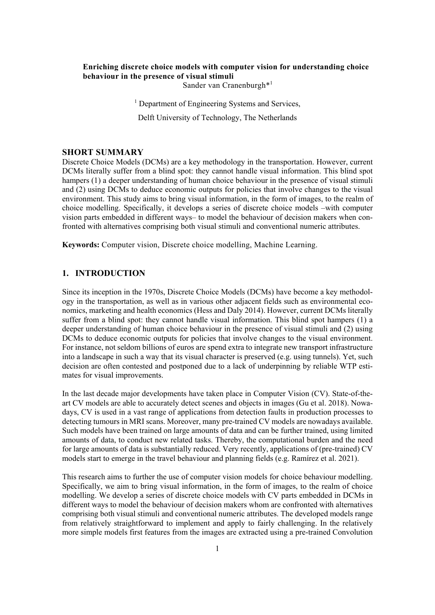# **Enriching discrete choice models with computer vision for understanding choice behaviour in the presence of visual stimuli**

Sander van Cranenburgh\*<sup>1</sup>

<sup>1</sup> Department of Engineering Systems and Services,

Delft University of Technology, The Netherlands

### **SHORT SUMMARY**

Discrete Choice Models (DCMs) are a key methodology in the transportation. However, current DCMs literally suffer from a blind spot: they cannot handle visual information. This blind spot hampers (1) a deeper understanding of human choice behaviour in the presence of visual stimuli and (2) using DCMs to deduce economic outputs for policies that involve changes to the visual environment. This study aims to bring visual information, in the form of images, to the realm of choice modelling. Specifically, it develops a series of discrete choice models –with computer vision parts embedded in different ways– to model the behaviour of decision makers when confronted with alternatives comprising both visual stimuli and conventional numeric attributes.

**Keywords:** Computer vision, Discrete choice modelling, Machine Learning.

# **1. INTRODUCTION**

Since its inception in the 1970s, Discrete Choice Models (DCMs) have become a key methodology in the transportation, as well as in various other adjacent fields such as environmental economics, marketing and health economics (Hess and Daly 2014). However, current DCMs literally suffer from a blind spot: they cannot handle visual information. This blind spot hampers (1) a deeper understanding of human choice behaviour in the presence of visual stimuli and (2) using DCMs to deduce economic outputs for policies that involve changes to the visual environment. For instance, not seldom billions of euros are spend extra to integrate new transport infrastructure into a landscape in such a way that its visual character is preserved (e.g. using tunnels). Yet, such decision are often contested and postponed due to a lack of underpinning by reliable WTP estimates for visual improvements.

In the last decade major developments have taken place in Computer Vision (CV). State-of-theart CV models are able to accurately detect scenes and objects in images (Gu et al. 2018). Nowadays, CV is used in a vast range of applications from detection faults in production processes to detecting tumours in MRI scans. Moreover, many pre-trained CV models are nowadays available. Such models have been trained on large amounts of data and can be further trained, using limited amounts of data, to conduct new related tasks. Thereby, the computational burden and the need for large amounts of data is substantially reduced. Very recently, applications of (pre-trained) CV models start to emerge in the travel behaviour and planning fields (e.g. Ramírez et al. 2021).

This research aims to further the use of computer vision models for choice behaviour modelling. Specifically, we aim to bring visual information, in the form of images, to the realm of choice modelling. We develop a series of discrete choice models with CV parts embedded in DCMs in different ways to model the behaviour of decision makers whom are confronted with alternatives comprising both visual stimuli and conventional numeric attributes. The developed models range from relatively straightforward to implement and apply to fairly challenging. In the relatively more simple models first features from the images are extracted using a pre-trained Convolution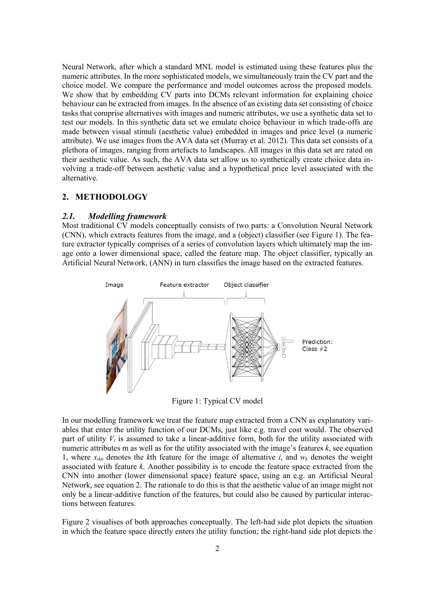Neural Network, after which a standard MNL model is estimated using these features plus the numeric attributes. In the more sophisticated models, we simultaneously train the CV part and the choice model. We compare the performance and model outcomes across the proposed models. We show that by embedding CV parts into DCMs relevant information for explaining choice behaviour can be extracted from images. In the absence of an existing data set consisting of choice tasks that comprise alternatives with images and numeric attributes, we use a synthetic data set to test our models. In this synthetic data set we emulate choice behaviour in which trade-offs are made between visual stimuli (aesthetic value) embedded in images and price level (a numeric attribute). We use images from the AVA data set (Murray et al. 2012). This data set consists of a plethora of images, ranging from artefacts to landscapes. All images in this data set are rated on their aesthetic value. As such, the AVA data set allow us to synthetically create choice data involving a trade-off between aesthetic value and a hypothetical price level associated with the alternative.

# **2. METHODOLOGY**

### *2.1. Modelling framework*

Most traditional CV models conceptually consists of two parts: a Convolution Neural Network (CNN), which extracts features from the image, and a (object) classifier (see Figure 1). The feature extractor typically comprises of a series of convolution layers which ultimately map the image onto a lower dimensional space, called the feature map. The object classifier, typically an Artificial Neural Network, (ANN) in turn classifies the image based on the extracted features.



Figure 1: Typical CV model

In our modelling framework we treat the feature map extracted from a CNN as explanatory variables that enter the utility function of our DCMs, just like e.g. travel cost would. The observed part of utility  $V_i$  is assumed to take a linear-additive form, both for the utility associated with numeric attributes m as well as for the utility associated with the image's features *k*, see equation 1, where  $x_{ikn}$  denotes the *k*th feature for the image of alternative *i*, and  $w_k$  denotes the weight associated with feature *k*. Another possibility is to encode the feature space extracted from the CNN into another (lower dimensional space) feature space, using an e.g. an Artificial Neural Network, see equation 2. The rationale to do this is that the aesthetic value of an image might not only be a linear-additive function of the features, but could also be caused by particular interactions between features.

Figure 2 visualises of both approaches conceptually. The left-had side plot depicts the situation in which the feature space directly enters the utility function; the right-hand side plot depicts the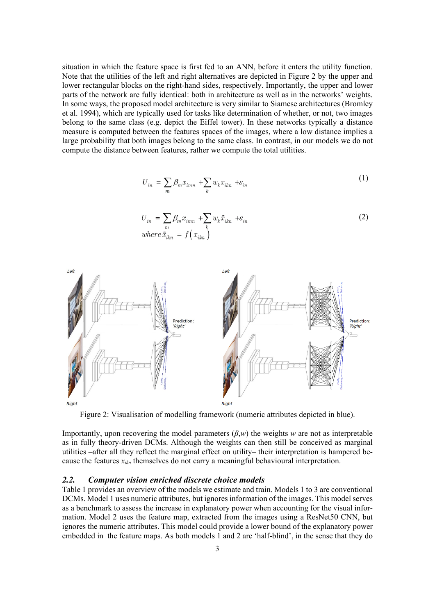situation in which the feature space is first fed to an ANN, before it enters the utility function. Note that the utilities of the left and right alternatives are depicted in Figure 2 by the upper and lower rectangular blocks on the right-hand sides, respectively. Importantly, the upper and lower parts of the network are fully identical: both in architecture as well as in the networks' weights. In some ways, the proposed model architecture is very similar to Siamese architectures (Bromley et al. 1994), which are typically used for tasks like determination of whether, or not, two images belong to the same class (e.g. depict the Eiffel tower). In these networks typically a distance measure is computed between the features spaces of the images, where a low distance implies a large probability that both images belong to the same class. In contrast, in our models we do not compute the distance between features, rather we compute the total utilities.

$$
U_{in} = \sum_{m} \beta_m x_{imn} + \sum_{k} w_k x_{ikn} + \varepsilon_{in}
$$
 (1)

$$
U_{in} = \sum_{m} \beta_m x_{imn} + \sum_{k} w_k \tilde{x}_{ikn} + \varepsilon_{in}
$$
  
where  $\tilde{x}_{ikn} = f(x_{ikn})$  (2)



Figure 2: Visualisation of modelling framework (numeric attributes depicted in blue).

Importantly, upon recovering the model parameters (*β*,*w*) the weights *w* are not as interpretable as in fully theory-driven DCMs. Although the weights can then still be conceived as marginal utilities –after all they reflect the marginal effect on utility– their interpretation is hampered because the features  $x_{ikn}$  themselves do not carry a meaningful behavioural interpretation.

# *2.2. Computer vision enriched discrete choice models*

Table 1 provides an overview of the models we estimate and train. Models 1 to 3 are conventional DCMs. Model 1 uses numeric attributes, but ignores information of the images. This model serves as a benchmark to assess the increase in explanatory power when accounting for the visual information. Model 2 uses the feature map, extracted from the images using a ResNet50 CNN, but ignores the numeric attributes. This model could provide a lower bound of the explanatory power embedded in the feature maps. As both models 1 and 2 are 'half-blind', in the sense that they do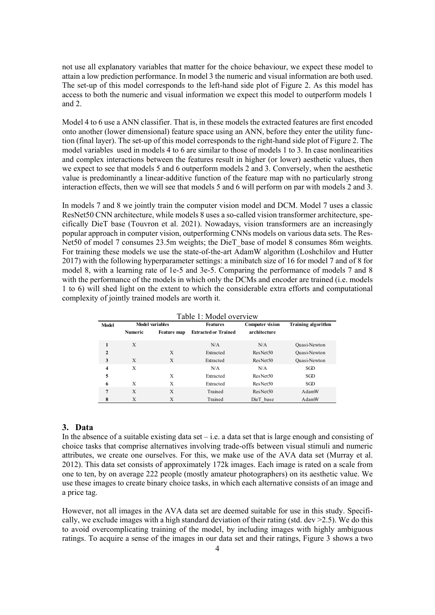not use all explanatory variables that matter for the choice behaviour, we expect these model to attain a low prediction performance. In model 3 the numeric and visual information are both used. The set-up of this model corresponds to the left-hand side plot of Figure 2. As this model has access to both the numeric and visual information we expect this model to outperform models 1 and 2.

Model 4 to 6 use a ANN classifier. That is, in these models the extracted features are first encoded onto another (lower dimensional) feature space using an ANN, before they enter the utility function (final layer). The set-up of this model corresponds to the right-hand side plot of Figure 2. The model variables used in models 4 to 6 are similar to those of models 1 to 3. In case nonlinearities and complex interactions between the features result in higher (or lower) aesthetic values, then we expect to see that models 5 and 6 outperform models 2 and 3. Conversely, when the aesthetic value is predominantly a linear-additive function of the feature map with no particularly strong interaction effects, then we will see that models 5 and 6 will perform on par with models 2 and 3.

In models 7 and 8 we jointly train the computer vision model and DCM. Model 7 uses a classic ResNet50 CNN architecture, while models 8 uses a so-called vision transformer architecture, specifically DieT base (Touvron et al. 2021). Nowadays, vision transformers are an increasingly popular approach in computer vision, outperforming CNNs models on various data sets. The Res-Net50 of model 7 consumes 23.5m weights; the DieT base of model 8 consumes 86m weights. For training these models we use the state-of-the-art AdamW algorithm (Loshchilov and Hutter 2017) with the following hyperparameter settings: a minibatch size of 16 for model 7 and of 8 for model 8, with a learning rate of 1e-5 and 3e-5. Comparing the performance of models 7 and 8 with the performance of the models in which only the DCMs and encoder are trained (i.e. models 1 to 6) will shed light on the extent to which the considerable extra efforts and computational complexity of jointly trained models are worth it.

| Table 1: Model overview |                        |             |                             |                        |                           |  |  |  |  |  |  |  |
|-------------------------|------------------------|-------------|-----------------------------|------------------------|---------------------------|--|--|--|--|--|--|--|
| <b>Model</b>            | <b>Model variables</b> |             | <b>Features</b>             | <b>Computer vision</b> | <b>Training algorithm</b> |  |  |  |  |  |  |  |
|                         | <b>Numeric</b>         | Feature map | <b>Extracted or Trained</b> | architecture           |                           |  |  |  |  |  |  |  |
| 1                       | X                      |             | N/A                         | N/A                    | Quasi-Newton              |  |  |  |  |  |  |  |
| $\mathbf{2}$            |                        | X           | Extracted                   | ResNet <sub>50</sub>   | Quasi-Newton              |  |  |  |  |  |  |  |
| 3                       | X                      | X           | Extracted                   | ResNet50               | Quasi-Newton              |  |  |  |  |  |  |  |
| $\overline{\mathbf{4}}$ | X                      |             | N/A                         | N/A                    | SGD                       |  |  |  |  |  |  |  |
| 5                       |                        | X           | Extracted                   | ResNet <sub>50</sub>   | SGD                       |  |  |  |  |  |  |  |
| 6                       | X                      | X           | Extracted                   | ResNet50               | SGD.                      |  |  |  |  |  |  |  |
| $\overline{7}$          | X                      | X           | Trained                     | ResNet50               | AdamW                     |  |  |  |  |  |  |  |
| 8                       | Х                      | Х           | Trained                     | DieT base              | AdamW                     |  |  |  |  |  |  |  |

 $T = 1.1 - 1.1$ 

#### **3. Data**

In the absence of a suitable existing data set – i.e. a data set that is large enough and consisting of choice tasks that comprise alternatives involving trade-offs between visual stimuli and numeric attributes, we create one ourselves. For this, we make use of the AVA data set (Murray et al. 2012). This data set consists of approximately 172k images. Each image is rated on a scale from one to ten, by on average 222 people (mostly amateur photographers) on its aesthetic value. We use these images to create binary choice tasks, in which each alternative consists of an image and a price tag.

However, not all images in the AVA data set are deemed suitable for use in this study. Specifically, we exclude images with a high standard deviation of their rating (std. dev  $\geq$ 2.5). We do this to avoid overcomplicating training of the model, by including images with highly ambiguous ratings. To acquire a sense of the images in our data set and their ratings, Figure 3 shows a two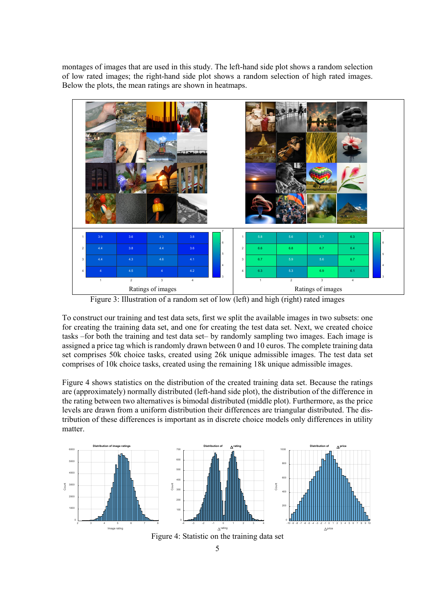montages of images that are used in this study. The left-hand side plot shows a random selection of low rated images; the right-hand side plot shows a random selection of high rated images. Below the plots, the mean ratings are shown in heatmaps.



Figure 3: Illustration of a random set of low (left) and high (right) rated images

To construct our training and test data sets, first we split the available images in two subsets: one for creating the training data set, and one for creating the test data set. Next, we created choice tasks –for both the training and test data set– by randomly sampling two images. Each image is assigned a price tag which is randomly drawn between 0 and 10 euros. The complete training data set comprises 50k choice tasks, created using 26k unique admissible images. The test data set comprises of 10k choice tasks, created using the remaining 18k unique admissible images.

Figure 4 shows statistics on the distribution of the created training data set. Because the ratings are (approximately) normally distributed (left-hand side plot), the distribution of the difference in the rating between two alternatives is bimodal distributed (middle plot). Furthermore, as the price levels are drawn from a uniform distribution their differences are triangular distributed. The distribution of these differences is important as in discrete choice models only differences in utility matter.

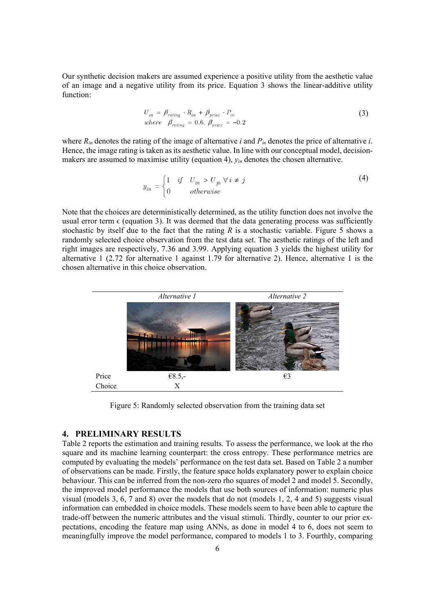Our synthetic decision makers are assumed experience a positive utility from the aesthetic value of an image and a negative utility from its price. Equation 3 shows the linear-additive utility function:

$$
U_{in} = \beta_{rating} \cdot R_{in} + \beta_{price} \cdot P_{in}
$$
  
where  $\beta_{rating} = 0.6, \beta_{price} = -0.2$  (3)

where  $R_{in}$  denotes the rating of the image of alternative *i* and  $P_{in}$  denotes the price of alternative *i*. Hence, the image rating is taken as its aesthetic value. In line with our conceptual model, decisionmakers are assumed to maximise utility (equation 4), *yin* denotes the chosen alternative.

$$
y_{in} = \begin{cases} 1 & if \quad U_{in} > U_{jn} \ \forall \ i \neq j \\ 0 & otherwise \end{cases}
$$
 (4)

Note that the choices are deterministically determined, as the utility function does not involve the usual error term  $\epsilon$  (equation 3). It was deemed that the data generating process was sufficiently stochastic by itself due to the fact that the rating *R* is a stochastic variable. Figure 5 shows a randomly selected choice observation from the test data set. The aesthetic ratings of the left and right images are respectively, 7.36 and 3.99. Applying equation 3 yields the highest utility for alternative 1 (2.72 for alternative 1 against 1.79 for alternative 2). Hence, alternative 1 is the chosen alternative in this choice observation.



Figure 5: Randomly selected observation from the training data set

#### **4. PRELIMINARY RESULTS**

Table 2 reports the estimation and training results. To assess the performance, we look at the rho square and its machine learning counterpart: the cross entropy. These performance metrics are computed by evaluating the models' performance on the test data set. Based on Table 2 a number of observations can be made. Firstly, the feature space holds explanatory power to explain choice behaviour. This can be inferred from the non-zero rho squares of model 2 and model 5. Secondly, the improved model performance the models that use both sources of information: numeric plus visual (models 3, 6, 7 and 8) over the models that do not (models 1, 2, 4 and 5) suggests visual information can embedded in choice models. These models seem to have been able to capture the trade-off between the numeric attributes and the visual stimuli. Thirdly, counter to our prior expectations, encoding the feature map using ANNs, as done in model 4 to 6, does not seem to meaningfully improve the model performance, compared to models 1 to 3. Fourthly, comparing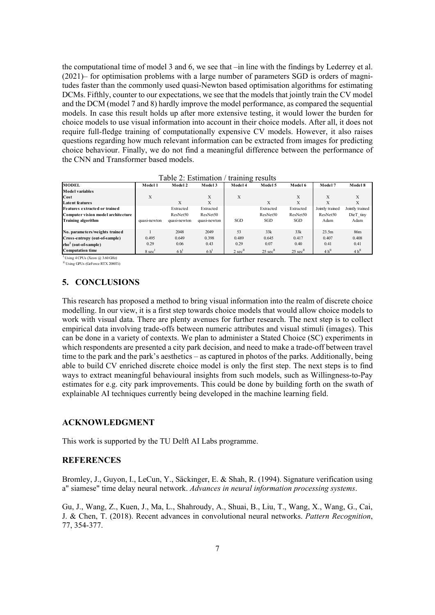the computational time of model 3 and 6, we see that –in line with the findings by Lederrey et al. (2021)– for optimisation problems with a large number of parameters SGD is orders of magnitudes faster than the commonly used quasi-Newton based optimisation algorithms for estimating DCMs. Fifthly, counter to our expectations, we see that the models that jointly train the CV model and the DCM (model 7 and 8) hardly improve the model performance, as compared the sequential models. In case this result holds up after more extensive testing, it would lower the burden for choice models to use visual information into account in their choice models. After all, it does not require full-fledge training of computationally expensive CV models. However, it also raises questions regarding how much relevant information can be extracted from images for predicting choice behaviour. Finally, we do not find a meaningful difference between the performance of the CNN and Transformer based models.

| <b>MODEL</b>                       | Model 1            | Model 2        | Model 3        | Model 4  | Model 5                        | Model 6                        | Model 7            | Model 8             |
|------------------------------------|--------------------|----------------|----------------|----------|--------------------------------|--------------------------------|--------------------|---------------------|
| Model variables                    |                    |                |                |          |                                |                                |                    |                     |
| Cost                               | X                  |                | X              | X        |                                | X                              | X                  | Х                   |
| <b>Latent features</b>             |                    | X              | X              |          | X                              | X                              | X                  | X                   |
| Features extracted or trained      |                    | Extracted      | Extracted      |          | Extracted                      | Extracted                      | Jointly trained    | Jointly trained     |
| Computer vision model architecture |                    | ResNet50       | ResNet50       |          | ResNet50                       | ResNet50                       | ResNet50           | DieT tiny           |
| <b>Training algorithm</b>          | quasi-newton       | quasi-newton   | quasi-newton   | SGD      | SGD                            | SGD                            | Adam               | Adam                |
|                                    |                    |                |                |          |                                |                                |                    |                     |
| No. parameters/weights trained     |                    | 2048           | 2049           | 53       | 33k                            | 33k                            | 23.5m              | 86m                 |
| Cross-entropy (out-of-sample)      | 0.495              | 0.649          | 0.398          | 0.489    | 0.645                          | 0.417                          | 0.407              | 0.408               |
| $rho2$ (out-of-sample)             | 0.29               | 0.06           | 0.43           | 0.29     | 0.07                           | 0.40                           | 0.41               | 0.41                |
| <b>Computation time</b>            | 8 sec <sup>1</sup> | 6 <sup>h</sup> | 6 <sup>1</sup> | $2 \sec$ | $25 \text{ sec}$ <sup>II</sup> | $25 \text{ sec}$ <sup>II</sup> | $4 h$ <sup>"</sup> | $4 h$ <sup>II</sup> |

<sup>I</sup> Using 4 CPUs (Xeon @ 3.60 GHz)

II Using GPUs (GeForce RTX 2080Ti)

# **5. CONCLUSIONS**

This research has proposed a method to bring visual information into the realm of discrete choice modelling. In our view, it is a first step towards choice models that would allow choice models to work with visual data. There are plenty avenues for further research. The next step is to collect empirical data involving trade-offs between numeric attributes and visual stimuli (images). This can be done in a variety of contexts. We plan to administer a Stated Choice (SC) experiments in which respondents are presented a city park decision, and need to make a trade-off between travel time to the park and the park's aesthetics – as captured in photos of the parks. Additionally, being able to build CV enriched discrete choice model is only the first step. The next steps is to find ways to extract meaningful behavioural insights from such models, such as Willingness-to-Pay estimates for e.g. city park improvements. This could be done by building forth on the swath of explainable AI techniques currently being developed in the machine learning field.

### **ACKNOWLEDGMENT**

This work is supported by the TU Delft AI Labs programme.

# **REFERENCES**

Bromley, J., Guyon, I., LeCun, Y., Säckinger, E. & Shah, R. (1994). Signature verification using a" siamese" time delay neural network. *Advances in neural information processing systems*.

Gu, J., Wang, Z., Kuen, J., Ma, L., Shahroudy, A., Shuai, B., Liu, T., Wang, X., Wang, G., Cai, J. & Chen, T. (2018). Recent advances in convolutional neural networks. *Pattern Recognition*, 77, 354-377.